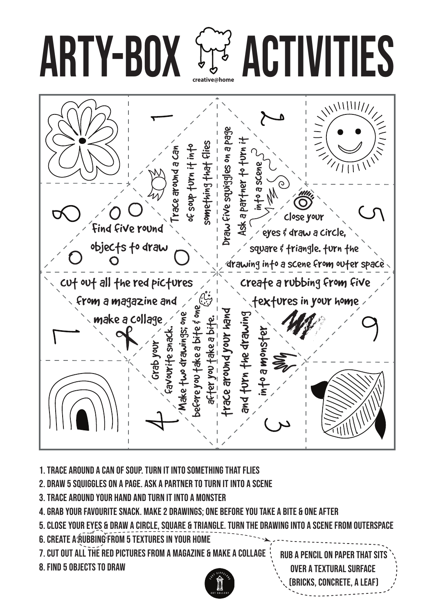



- 1. Trace around a can of soup. Turn it into something that flies
- 2. draw 5 squiggles on a page. Ask a partner to turn it into a scene
- 3. Trace around your hand and turn it into a monster
- 4. grab your favourite snack. Make 2 drawings; one before you take a bite & one after
- 5. close your eyes & draw a circle, square & triangle. Turn the drawing into a scene from outerspace
- 6. CREATE A RUBBING FROM 5 TEXTURES IN YOUR HOME
- 7. cut out all the red pictures from a magazine & make a collage
- 8. find 5 objects to draw



Rub a pencil on paper that sits over a textural surface (bricks, concrete, a leaf)